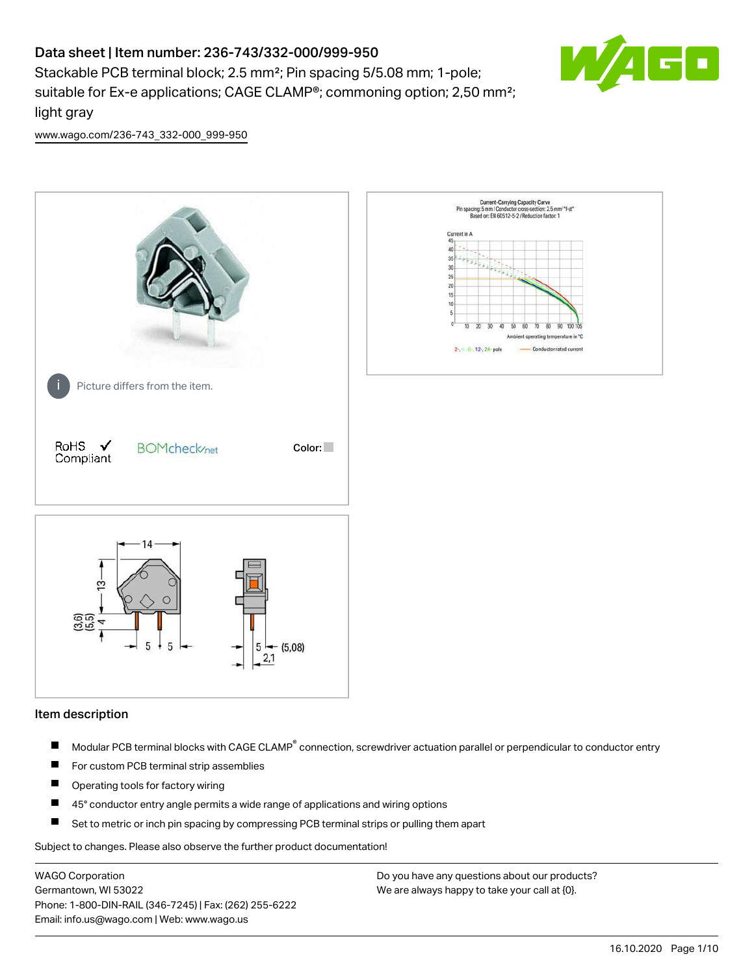# Data sheet | Item number: 236-743/332-000/999-950

Stackable PCB terminal block; 2.5 mm²; Pin spacing 5/5.08 mm; 1-pole; suitable for Ex-e applications; CAGE CLAMP®; commoning option; 2,50 mm²; light gray



[www.wago.com/236-743\\_332-000\\_999-950](http://www.wago.com/236-743_332-000_999-950)



#### Item description

- Modular PCB terminal blocks with CAGE CLAMP<sup>®</sup> connection, screwdriver actuation parallel or perpendicular to conductor entry П
- $\blacksquare$ For custom PCB terminal strip assemblies
- П Operating tools for factory wiring
- $\blacksquare$ 45° conductor entry angle permits a wide range of applications and wiring options
- П Set to metric or inch pin spacing by compressing PCB terminal strips or pulling them apart

Subject to changes. Please also observe the further product documentation!

WAGO Corporation Germantown, WI 53022 Phone: 1-800-DIN-RAIL (346-7245) | Fax: (262) 255-6222 Email: info.us@wago.com | Web: www.wago.us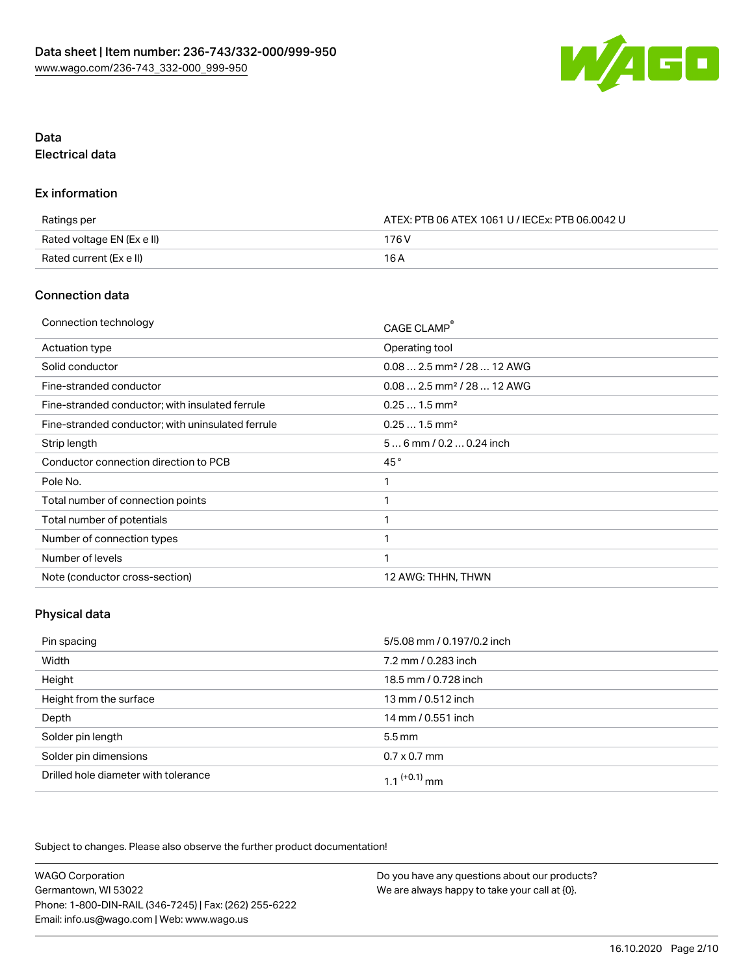

## Data Electrical data

#### Ex information

| Ratings per                | ATEX: PTB 06 ATEX 1061 U / IECEx: PTB 06.0042 U |  |
|----------------------------|-------------------------------------------------|--|
| Rated voltage EN (Ex e II) | 176 V                                           |  |
| Rated current (Ex e II)    | 16 A                                            |  |

#### Connection data

| Connection technology                             | CAGE CLAMP®                             |
|---------------------------------------------------|-----------------------------------------|
| Actuation type                                    | Operating tool                          |
| Solid conductor                                   | $0.082.5$ mm <sup>2</sup> / 28  12 AWG  |
| Fine-stranded conductor                           | $0.08$ 2.5 mm <sup>2</sup> / 28  12 AWG |
| Fine-stranded conductor; with insulated ferrule   | $0.251.5$ mm <sup>2</sup>               |
| Fine-stranded conductor; with uninsulated ferrule | $0.251.5$ mm <sup>2</sup>               |
| Strip length                                      | $56$ mm $/ 0.20.24$ inch                |
| Conductor connection direction to PCB             | 45°                                     |
| Pole No.                                          | 1                                       |
| Total number of connection points                 |                                         |
| Total number of potentials                        |                                         |
| Number of connection types                        |                                         |
| Number of levels                                  | 1                                       |
| Note (conductor cross-section)                    | 12 AWG: THHN, THWN                      |

### Physical data

| Pin spacing                          | 5/5.08 mm / 0.197/0.2 inch |
|--------------------------------------|----------------------------|
| Width                                | 7.2 mm / 0.283 inch        |
| Height                               | 18.5 mm / 0.728 inch       |
| Height from the surface              | 13 mm / 0.512 inch         |
| Depth                                | 14 mm / 0.551 inch         |
| Solder pin length                    | $5.5 \,\mathrm{mm}$        |
| Solder pin dimensions                | $0.7 \times 0.7$ mm        |
| Drilled hole diameter with tolerance | 1 1 $(+0.1)$ mm            |

Subject to changes. Please also observe the further product documentation!

| <b>WAGO Corporation</b>                                | Do you have any questions about our products? |
|--------------------------------------------------------|-----------------------------------------------|
| Germantown, WI 53022                                   | We are always happy to take your call at {0}. |
| Phone: 1-800-DIN-RAIL (346-7245)   Fax: (262) 255-6222 |                                               |
| Email: info.us@wago.com   Web: www.wago.us             |                                               |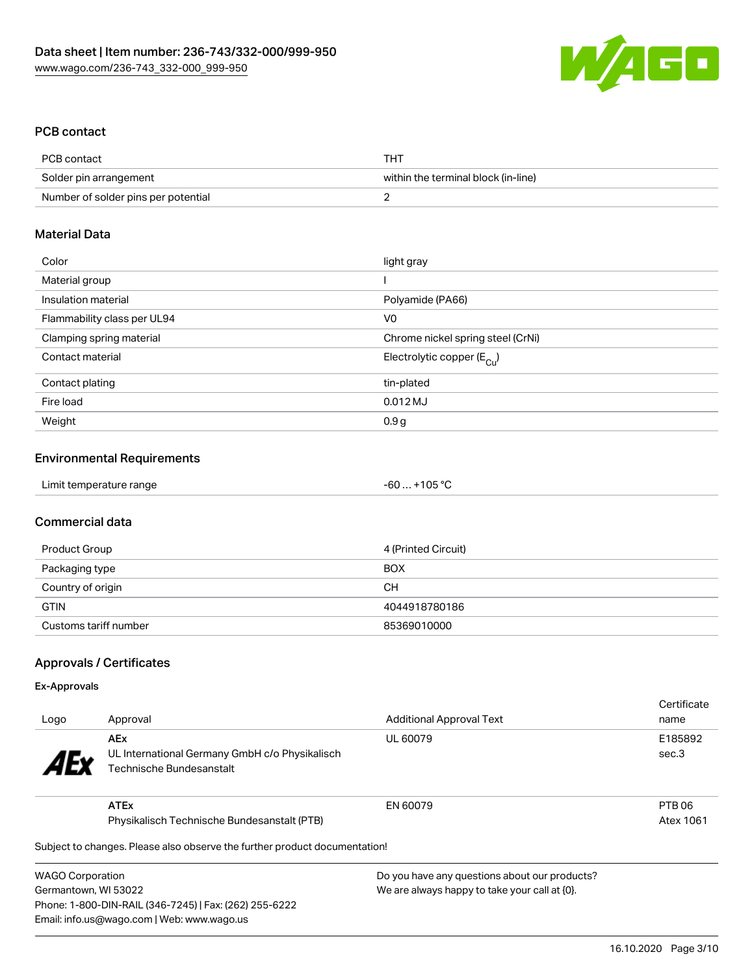

### PCB contact

| PCB contact                         | THT                                 |
|-------------------------------------|-------------------------------------|
| Solder pin arrangement              | within the terminal block (in-line) |
| Number of solder pins per potential |                                     |

#### Material Data

| Color                       | light gray                            |
|-----------------------------|---------------------------------------|
| Material group              |                                       |
| Insulation material         | Polyamide (PA66)                      |
| Flammability class per UL94 | V <sub>0</sub>                        |
| Clamping spring material    | Chrome nickel spring steel (CrNi)     |
| Contact material            | Electrolytic copper $(E_{\text{Cl}})$ |
| Contact plating             | tin-plated                            |
| Fire load                   | $0.012$ MJ                            |
| Weight                      | 0.9g                                  |

#### Environmental Requirements

| Limit temperature range | $-60+105 °C$ |  |
|-------------------------|--------------|--|
|-------------------------|--------------|--|

#### Commercial data

| Product Group         | 4 (Printed Circuit) |
|-----------------------|---------------------|
| Packaging type        | <b>BOX</b>          |
| Country of origin     | CН                  |
| <b>GTIN</b>           | 4044918780186       |
| Customs tariff number | 85369010000         |

### Approvals / Certificates

#### Ex-Approvals

| Logo                  | Approval                                                                                 | <b>Additional Approval Text</b> | Certificate<br>name |
|-----------------------|------------------------------------------------------------------------------------------|---------------------------------|---------------------|
| <b>AE<sub>y</sub></b> | <b>AEx</b><br>UL International Germany GmbH c/o Physikalisch<br>Technische Bundesanstalt | UL 60079                        | E185892<br>sec.3    |
|                       | <b>ATEx</b>                                                                              | EN 60079                        | PTB 06              |
|                       | Physikalisch Technische Bundesanstalt (PTB)                                              |                                 | Atex 1061           |
|                       | Subject to changes. Please also observe the further product documentation!               |                                 |                     |

 $\mathfrak p$ ject to changes. Please also observe the further product documentatio

WAGO Corporation Germantown, WI 53022 Phone: 1-800-DIN-RAIL (346-7245) | Fax: (262) 255-6222 Email: info.us@wago.com | Web: www.wago.us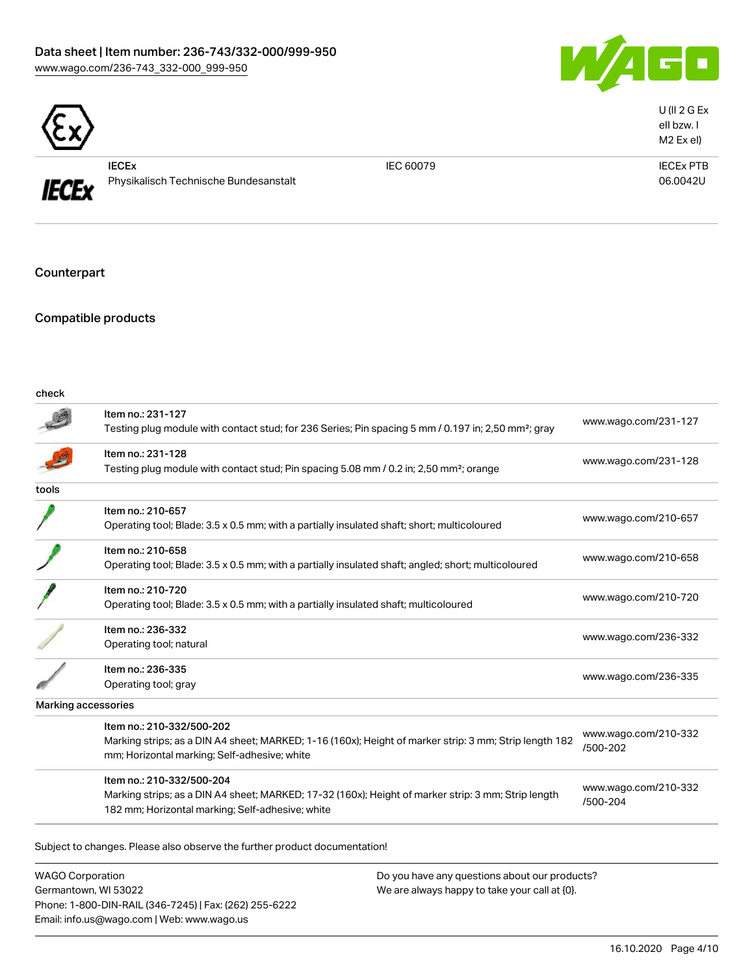### Data sheet | Item number: 236-743/332-000/999-950 [www.wago.com/236-743\\_332-000\\_999-950](http://www.wago.com/236-743_332-000_999-950)



|--|

**IECEx** 

IECEx Physikalisch Technische Bundesanstalt

IEC 60079 IECEx PTB 06.0042U

U (II 2 G Ex eII bzw. I M2 Ex eI)

Counterpart

Compatible products

Phone: 1-800-DIN-RAIL (346-7245) | Fax: (262) 255-6222

Email: info.us@wago.com | Web: www.wago.us

| check                                                                    |                                                                                                                                                                                      |                                                  |                                  |
|--------------------------------------------------------------------------|--------------------------------------------------------------------------------------------------------------------------------------------------------------------------------------|--------------------------------------------------|----------------------------------|
|                                                                          | Item no.: 231-127<br>Testing plug module with contact stud; for 236 Series; Pin spacing 5 mm / 0.197 in; 2,50 mm <sup>2</sup> ; gray                                                 |                                                  | www.wago.com/231-127             |
|                                                                          | Item no.: 231-128<br>Testing plug module with contact stud; Pin spacing 5.08 mm / 0.2 in; 2,50 mm <sup>2</sup> ; orange                                                              |                                                  | www.wago.com/231-128             |
| tools                                                                    |                                                                                                                                                                                      |                                                  |                                  |
|                                                                          | Item no.: 210-657<br>Operating tool; Blade: 3.5 x 0.5 mm; with a partially insulated shaft; short; multicoloured                                                                     |                                                  | www.wago.com/210-657             |
|                                                                          | Item no.: 210-658<br>Operating tool; Blade: 3.5 x 0.5 mm; with a partially insulated shaft; angled; short; multicoloured                                                             |                                                  | www.wago.com/210-658             |
|                                                                          | Item no.: 210-720<br>Operating tool; Blade: 3.5 x 0.5 mm; with a partially insulated shaft; multicoloured                                                                            |                                                  | www.wago.com/210-720             |
|                                                                          | Item no.: 236-332<br>Operating tool; natural                                                                                                                                         |                                                  | www.wago.com/236-332             |
|                                                                          | Item no.: 236-335<br>Operating tool; gray                                                                                                                                            |                                                  | www.wago.com/236-335             |
|                                                                          | Marking accessories                                                                                                                                                                  |                                                  |                                  |
|                                                                          | Item no.: 210-332/500-202<br>Marking strips; as a DIN A4 sheet; MARKED; 1-16 (160x); Height of marker strip: 3 mm; Strip length 182<br>mm; Horizontal marking; Self-adhesive; white  |                                                  | www.wago.com/210-332<br>/500-202 |
|                                                                          | Item no.: 210-332/500-204<br>Marking strips; as a DIN A4 sheet; MARKED; 17-32 (160x); Height of marker strip: 3 mm; Strip length<br>182 mm; Horizontal marking; Self-adhesive; white |                                                  | www.wago.com/210-332<br>/500-204 |
|                                                                          | Subject to changes. Please also observe the further product documentation!                                                                                                           |                                                  |                                  |
| <b>WAGO Corporation</b><br>Do you have any questions about our products? |                                                                                                                                                                                      |                                                  |                                  |
| Germantown, WI 53022                                                     |                                                                                                                                                                                      | We are always happy to take your call at $[0]$ . |                                  |

16.10.2020 Page 4/10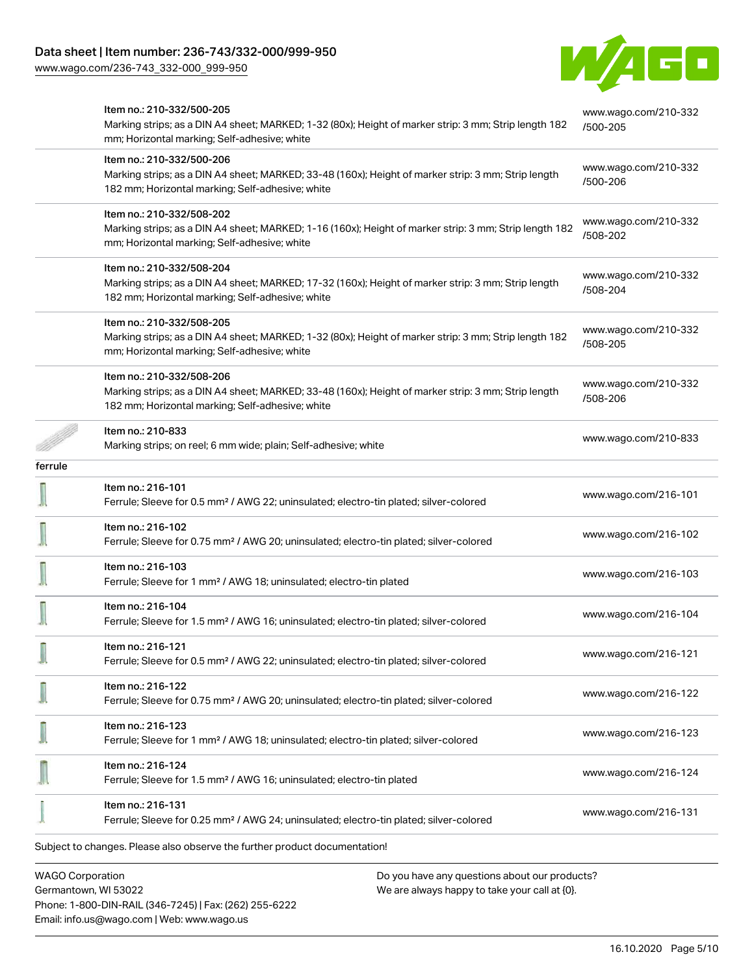Phone: 1-800-DIN-RAIL (346-7245) | Fax: (262) 255-6222

Email: info.us@wago.com | Web: www.wago.us

[www.wago.com/236-743\\_332-000\\_999-950](http://www.wago.com/236-743_332-000_999-950)



|                         | Item no.: 210-332/500-205<br>Marking strips; as a DIN A4 sheet; MARKED; 1-32 (80x); Height of marker strip: 3 mm; Strip length 182<br>mm; Horizontal marking; Self-adhesive; white   |                                               | www.wago.com/210-332<br>/500-205 |
|-------------------------|--------------------------------------------------------------------------------------------------------------------------------------------------------------------------------------|-----------------------------------------------|----------------------------------|
|                         | Item no.: 210-332/500-206<br>Marking strips; as a DIN A4 sheet; MARKED; 33-48 (160x); Height of marker strip: 3 mm; Strip length<br>182 mm; Horizontal marking; Self-adhesive; white |                                               | www.wago.com/210-332<br>/500-206 |
|                         | Item no.: 210-332/508-202<br>Marking strips; as a DIN A4 sheet; MARKED; 1-16 (160x); Height of marker strip: 3 mm; Strip length 182<br>mm; Horizontal marking; Self-adhesive; white  |                                               | www.wago.com/210-332<br>/508-202 |
|                         | Item no.: 210-332/508-204<br>Marking strips; as a DIN A4 sheet; MARKED; 17-32 (160x); Height of marker strip: 3 mm; Strip length<br>182 mm; Horizontal marking; Self-adhesive; white |                                               | www.wago.com/210-332<br>/508-204 |
|                         | Item no.: 210-332/508-205<br>Marking strips; as a DIN A4 sheet; MARKED; 1-32 (80x); Height of marker strip: 3 mm; Strip length 182<br>mm; Horizontal marking; Self-adhesive; white   |                                               | www.wago.com/210-332<br>/508-205 |
|                         | Item no.: 210-332/508-206<br>Marking strips; as a DIN A4 sheet; MARKED; 33-48 (160x); Height of marker strip: 3 mm; Strip length<br>182 mm; Horizontal marking; Self-adhesive; white |                                               | www.wago.com/210-332<br>/508-206 |
|                         | Item no.: 210-833<br>Marking strips; on reel; 6 mm wide; plain; Self-adhesive; white                                                                                                 |                                               | www.wago.com/210-833             |
| ferrule                 |                                                                                                                                                                                      |                                               |                                  |
|                         | Item no.: 216-101<br>Ferrule; Sleeve for 0.5 mm <sup>2</sup> / AWG 22; uninsulated; electro-tin plated; silver-colored                                                               |                                               | www.wago.com/216-101             |
|                         | Item no.: 216-102<br>Ferrule; Sleeve for 0.75 mm <sup>2</sup> / AWG 20; uninsulated; electro-tin plated; silver-colored                                                              |                                               | www.wago.com/216-102             |
|                         | Item no.: 216-103<br>Ferrule; Sleeve for 1 mm <sup>2</sup> / AWG 18; uninsulated; electro-tin plated                                                                                 |                                               | www.wago.com/216-103             |
|                         | Item no.: 216-104<br>Ferrule; Sleeve for 1.5 mm <sup>2</sup> / AWG 16; uninsulated; electro-tin plated; silver-colored                                                               |                                               | www.wago.com/216-104             |
|                         | Item no.: 216-121<br>Ferrule; Sleeve for 0.5 mm <sup>2</sup> / AWG 22; uninsulated; electro-tin plated; silver-colored                                                               |                                               | www.wago.com/216-121             |
|                         | Item no.: 216-122<br>Ferrule; Sleeve for 0.75 mm <sup>2</sup> / AWG 20; uninsulated; electro-tin plated; silver-colored                                                              |                                               | www.wago.com/216-122             |
|                         | Item no.: 216-123<br>Ferrule; Sleeve for 1 mm <sup>2</sup> / AWG 18; uninsulated; electro-tin plated; silver-colored                                                                 |                                               | www.wago.com/216-123             |
|                         | Item no.: 216-124<br>Ferrule; Sleeve for 1.5 mm <sup>2</sup> / AWG 16; uninsulated; electro-tin plated                                                                               |                                               | www.wago.com/216-124             |
|                         | Item no.: 216-131<br>Ferrule; Sleeve for 0.25 mm <sup>2</sup> / AWG 24; uninsulated; electro-tin plated; silver-colored                                                              |                                               | www.wago.com/216-131             |
|                         | Subject to changes. Please also observe the further product documentation!                                                                                                           |                                               |                                  |
|                         |                                                                                                                                                                                      |                                               |                                  |
| <b>WAGO Corporation</b> |                                                                                                                                                                                      | Do you have any questions about our products? |                                  |
|                         | Germantown, WI 53022                                                                                                                                                                 | We are always happy to take your call at {0}. |                                  |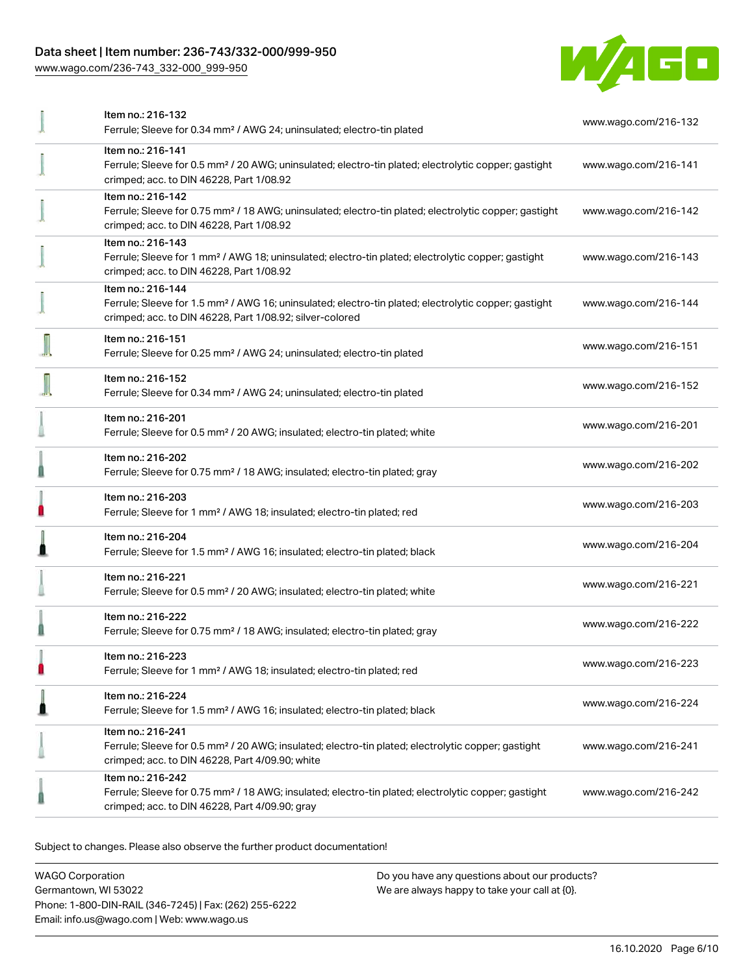### Data sheet | Item number: 236-743/332-000/999-950

[www.wago.com/236-743\\_332-000\\_999-950](http://www.wago.com/236-743_332-000_999-950)



|   | Item no.: 216-132<br>Ferrule; Sleeve for 0.34 mm <sup>2</sup> / AWG 24; uninsulated; electro-tin plated                                                                                           | www.wago.com/216-132 |
|---|---------------------------------------------------------------------------------------------------------------------------------------------------------------------------------------------------|----------------------|
|   | Item no.: 216-141<br>Ferrule; Sleeve for 0.5 mm <sup>2</sup> / 20 AWG; uninsulated; electro-tin plated; electrolytic copper; gastight<br>crimped; acc. to DIN 46228, Part 1/08.92                 | www.wago.com/216-141 |
|   | Item no.: 216-142<br>Ferrule; Sleeve for 0.75 mm <sup>2</sup> / 18 AWG; uninsulated; electro-tin plated; electrolytic copper; gastight<br>crimped; acc. to DIN 46228, Part 1/08.92                | www.wago.com/216-142 |
|   | Item no.: 216-143<br>Ferrule; Sleeve for 1 mm <sup>2</sup> / AWG 18; uninsulated; electro-tin plated; electrolytic copper; gastight<br>crimped; acc. to DIN 46228, Part 1/08.92                   | www.wago.com/216-143 |
|   | Item no.: 216-144<br>Ferrule; Sleeve for 1.5 mm <sup>2</sup> / AWG 16; uninsulated; electro-tin plated; electrolytic copper; gastight<br>crimped; acc. to DIN 46228, Part 1/08.92; silver-colored | www.wago.com/216-144 |
|   | Item no.: 216-151<br>Ferrule; Sleeve for 0.25 mm <sup>2</sup> / AWG 24; uninsulated; electro-tin plated                                                                                           | www.wago.com/216-151 |
|   | Item no.: 216-152<br>Ferrule; Sleeve for 0.34 mm <sup>2</sup> / AWG 24; uninsulated; electro-tin plated                                                                                           | www.wago.com/216-152 |
|   | Item no.: 216-201<br>Ferrule; Sleeve for 0.5 mm <sup>2</sup> / 20 AWG; insulated; electro-tin plated; white                                                                                       | www.wago.com/216-201 |
|   | Item no.: 216-202<br>Ferrule; Sleeve for 0.75 mm <sup>2</sup> / 18 AWG; insulated; electro-tin plated; gray                                                                                       | www.wago.com/216-202 |
|   | Item no.: 216-203<br>Ferrule; Sleeve for 1 mm <sup>2</sup> / AWG 18; insulated; electro-tin plated; red                                                                                           | www.wago.com/216-203 |
|   | Item no.: 216-204<br>Ferrule; Sleeve for 1.5 mm <sup>2</sup> / AWG 16; insulated; electro-tin plated; black                                                                                       | www.wago.com/216-204 |
|   | Item no.: 216-221<br>Ferrule; Sleeve for 0.5 mm <sup>2</sup> / 20 AWG; insulated; electro-tin plated; white                                                                                       | www.wago.com/216-221 |
|   | Item no.: 216-222<br>Ferrule; Sleeve for 0.75 mm <sup>2</sup> / 18 AWG; insulated; electro-tin plated; gray                                                                                       | www.wago.com/216-222 |
| n | ltem no.: 216-223<br>Ferrule; Sleeve for 1 mm <sup>2</sup> / AWG 18; insulated; electro-tin plated; red                                                                                           | www.wago.com/216-223 |
|   | Item no.: 216-224<br>Ferrule; Sleeve for 1.5 mm <sup>2</sup> / AWG 16; insulated; electro-tin plated; black                                                                                       | www.wago.com/216-224 |
|   | Item no.: 216-241<br>Ferrule; Sleeve for 0.5 mm <sup>2</sup> / 20 AWG; insulated; electro-tin plated; electrolytic copper; gastight<br>crimped; acc. to DIN 46228, Part 4/09.90; white            | www.wago.com/216-241 |
|   | Item no.: 216-242<br>Ferrule; Sleeve for 0.75 mm <sup>2</sup> / 18 AWG; insulated; electro-tin plated; electrolytic copper; gastight<br>crimped; acc. to DIN 46228, Part 4/09.90; gray            | www.wago.com/216-242 |

Subject to changes. Please also observe the further product documentation!

WAGO Corporation Germantown, WI 53022 Phone: 1-800-DIN-RAIL (346-7245) | Fax: (262) 255-6222 Email: info.us@wago.com | Web: www.wago.us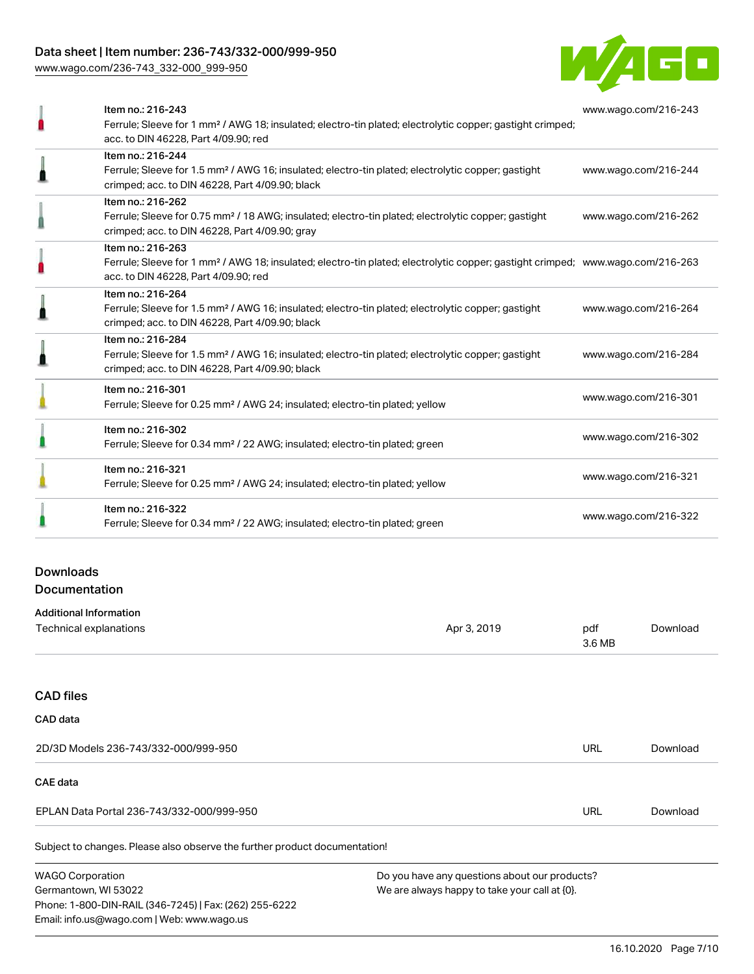### Data sheet | Item number: 236-743/332-000/999-950

[www.wago.com/236-743\\_332-000\\_999-950](http://www.wago.com/236-743_332-000_999-950)



| Item no.: 216-244<br>Ferrule; Sleeve for 1.5 mm <sup>2</sup> / AWG 16; insulated; electro-tin plated; electrolytic copper; gastight<br>www.wago.com/216-244<br>crimped; acc. to DIN 46228, Part 4/09.90; black<br>Item no.: 216-262<br>Ferrule; Sleeve for 0.75 mm <sup>2</sup> / 18 AWG; insulated; electro-tin plated; electrolytic copper; gastight<br>www.wago.com/216-262<br>crimped; acc. to DIN 46228, Part 4/09.90; gray<br>Item no.: 216-263<br>Ferrule; Sleeve for 1 mm <sup>2</sup> / AWG 18; insulated; electro-tin plated; electrolytic copper; gastight crimped; www.wago.com/216-263<br>acc. to DIN 46228, Part 4/09.90; red<br>Item no.: 216-264<br>Ferrule; Sleeve for 1.5 mm <sup>2</sup> / AWG 16; insulated; electro-tin plated; electrolytic copper; gastight<br>www.wago.com/216-264<br>crimped; acc. to DIN 46228, Part 4/09.90; black<br>Item no.: 216-284<br>Ferrule; Sleeve for 1.5 mm <sup>2</sup> / AWG 16; insulated; electro-tin plated; electrolytic copper; gastight<br>www.wago.com/216-284<br>crimped; acc. to DIN 46228, Part 4/09.90; black<br>Item no.: 216-301<br>www.wago.com/216-301<br>Ferrule; Sleeve for 0.25 mm <sup>2</sup> / AWG 24; insulated; electro-tin plated; yellow<br>Item no.: 216-302<br>www.wago.com/216-302<br>Ferrule; Sleeve for 0.34 mm <sup>2</sup> / 22 AWG; insulated; electro-tin plated; green<br>Item no.: 216-321<br>www.wago.com/216-321<br>Ferrule; Sleeve for 0.25 mm <sup>2</sup> / AWG 24; insulated; electro-tin plated; yellow<br>Item no.: 216-322<br>www.wago.com/216-322<br>Ferrule; Sleeve for 0.34 mm <sup>2</sup> / 22 AWG; insulated; electro-tin plated; green | Item no.: 216-243<br>Ferrule; Sleeve for 1 mm <sup>2</sup> / AWG 18; insulated; electro-tin plated; electrolytic copper; gastight crimped;<br>acc. to DIN 46228, Part 4/09.90; red | www.wago.com/216-243 |
|---------------------------------------------------------------------------------------------------------------------------------------------------------------------------------------------------------------------------------------------------------------------------------------------------------------------------------------------------------------------------------------------------------------------------------------------------------------------------------------------------------------------------------------------------------------------------------------------------------------------------------------------------------------------------------------------------------------------------------------------------------------------------------------------------------------------------------------------------------------------------------------------------------------------------------------------------------------------------------------------------------------------------------------------------------------------------------------------------------------------------------------------------------------------------------------------------------------------------------------------------------------------------------------------------------------------------------------------------------------------------------------------------------------------------------------------------------------------------------------------------------------------------------------------------------------------------------------------------------------------------------------------------|------------------------------------------------------------------------------------------------------------------------------------------------------------------------------------|----------------------|
|                                                                                                                                                                                                                                                                                                                                                                                                                                                                                                                                                                                                                                                                                                                                                                                                                                                                                                                                                                                                                                                                                                                                                                                                                                                                                                                                                                                                                                                                                                                                                                                                                                                   |                                                                                                                                                                                    |                      |
|                                                                                                                                                                                                                                                                                                                                                                                                                                                                                                                                                                                                                                                                                                                                                                                                                                                                                                                                                                                                                                                                                                                                                                                                                                                                                                                                                                                                                                                                                                                                                                                                                                                   |                                                                                                                                                                                    |                      |
|                                                                                                                                                                                                                                                                                                                                                                                                                                                                                                                                                                                                                                                                                                                                                                                                                                                                                                                                                                                                                                                                                                                                                                                                                                                                                                                                                                                                                                                                                                                                                                                                                                                   |                                                                                                                                                                                    |                      |
|                                                                                                                                                                                                                                                                                                                                                                                                                                                                                                                                                                                                                                                                                                                                                                                                                                                                                                                                                                                                                                                                                                                                                                                                                                                                                                                                                                                                                                                                                                                                                                                                                                                   |                                                                                                                                                                                    |                      |
|                                                                                                                                                                                                                                                                                                                                                                                                                                                                                                                                                                                                                                                                                                                                                                                                                                                                                                                                                                                                                                                                                                                                                                                                                                                                                                                                                                                                                                                                                                                                                                                                                                                   |                                                                                                                                                                                    |                      |
|                                                                                                                                                                                                                                                                                                                                                                                                                                                                                                                                                                                                                                                                                                                                                                                                                                                                                                                                                                                                                                                                                                                                                                                                                                                                                                                                                                                                                                                                                                                                                                                                                                                   |                                                                                                                                                                                    |                      |
|                                                                                                                                                                                                                                                                                                                                                                                                                                                                                                                                                                                                                                                                                                                                                                                                                                                                                                                                                                                                                                                                                                                                                                                                                                                                                                                                                                                                                                                                                                                                                                                                                                                   |                                                                                                                                                                                    |                      |
|                                                                                                                                                                                                                                                                                                                                                                                                                                                                                                                                                                                                                                                                                                                                                                                                                                                                                                                                                                                                                                                                                                                                                                                                                                                                                                                                                                                                                                                                                                                                                                                                                                                   |                                                                                                                                                                                    |                      |
|                                                                                                                                                                                                                                                                                                                                                                                                                                                                                                                                                                                                                                                                                                                                                                                                                                                                                                                                                                                                                                                                                                                                                                                                                                                                                                                                                                                                                                                                                                                                                                                                                                                   |                                                                                                                                                                                    |                      |

### Downloads Documentation

Email: info.us@wago.com | Web: www.wago.us

| <b>Additional Information</b>                                              |                                               |               |          |
|----------------------------------------------------------------------------|-----------------------------------------------|---------------|----------|
| Technical explanations                                                     | Apr 3, 2019                                   | pdf<br>3.6 MB | Download |
|                                                                            |                                               |               |          |
| <b>CAD files</b>                                                           |                                               |               |          |
| <b>CAD</b> data                                                            |                                               |               |          |
| 2D/3D Models 236-743/332-000/999-950                                       |                                               | <b>URL</b>    | Download |
| <b>CAE data</b>                                                            |                                               |               |          |
| EPLAN Data Portal 236-743/332-000/999-950                                  |                                               | URL           | Download |
| Subject to changes. Please also observe the further product documentation! |                                               |               |          |
| <b>WAGO Corporation</b>                                                    | Do you have any questions about our products? |               |          |
| Germantown, WI 53022                                                       | We are always happy to take your call at {0}. |               |          |
| Phone: 1-800-DIN-RAIL (346-7245)   Fax: (262) 255-6222                     |                                               |               |          |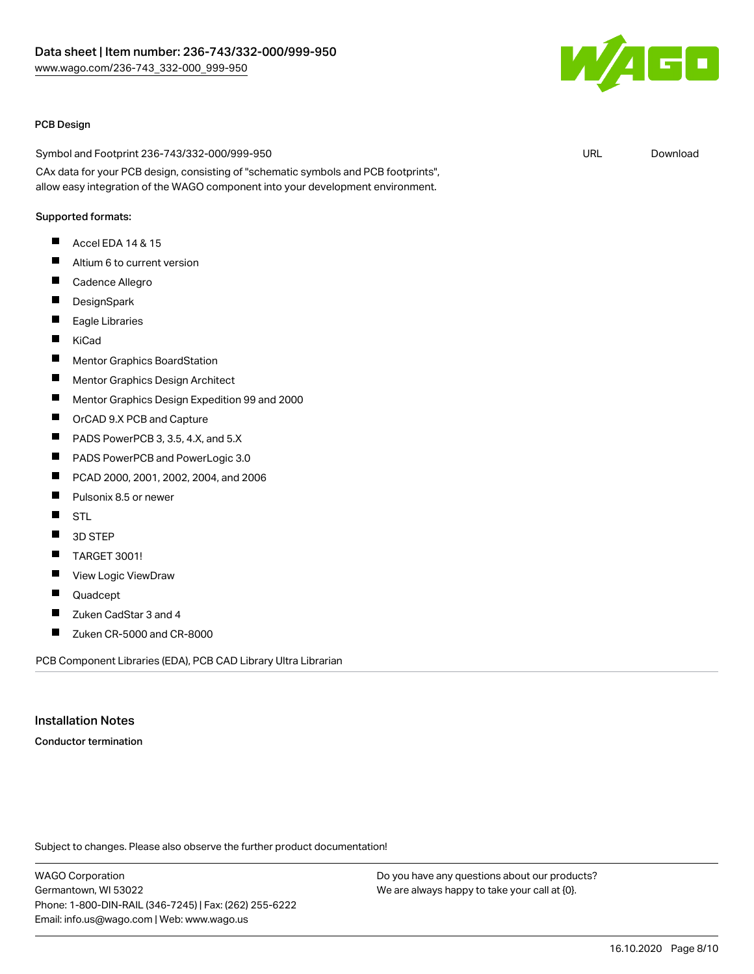

#### PCB Design

Symbol and Footprint 236-743/332-000/999-950 CAx data for your PCB design, consisting of "schematic symbols and PCB footprints", allow easy integration of the WAGO component into your development environment.

#### Supported formats:

- $\blacksquare$ Accel EDA 14 & 15
- $\blacksquare$ Altium 6 to current version
- $\blacksquare$ Cadence Allegro
- П **DesignSpark**
- $\blacksquare$ Eagle Libraries
- $\blacksquare$ KiCad
- $\blacksquare$ Mentor Graphics BoardStation
- П Mentor Graphics Design Architect
- П Mentor Graphics Design Expedition 99 and 2000
- П OrCAD 9.X PCB and Capture
- $\blacksquare$ PADS PowerPCB 3, 3.5, 4.X, and 5.X
- $\blacksquare$ PADS PowerPCB and PowerLogic 3.0
- П PCAD 2000, 2001, 2002, 2004, and 2006
- П Pulsonix 8.5 or newer
- $\blacksquare$ **STL**
- П 3D STEP
- П TARGET 3001!
- П View Logic ViewDraw
- П Quadcept
- П Zuken CadStar 3 and 4
- $\blacksquare$ Zuken CR-5000 and CR-8000

PCB Component Libraries (EDA), PCB CAD Library Ultra Librarian

#### Installation Notes

Conductor termination

Subject to changes. Please also observe the further product documentation!

WAGO Corporation Germantown, WI 53022 Phone: 1-800-DIN-RAIL (346-7245) | Fax: (262) 255-6222 Email: info.us@wago.com | Web: www.wago.us

Do you have any questions about our products? We are always happy to take your call at {0}.

URL [Download](https://www.wago.com/us/d/UltraLibrarian_URLS_236-743_332-000_999-950)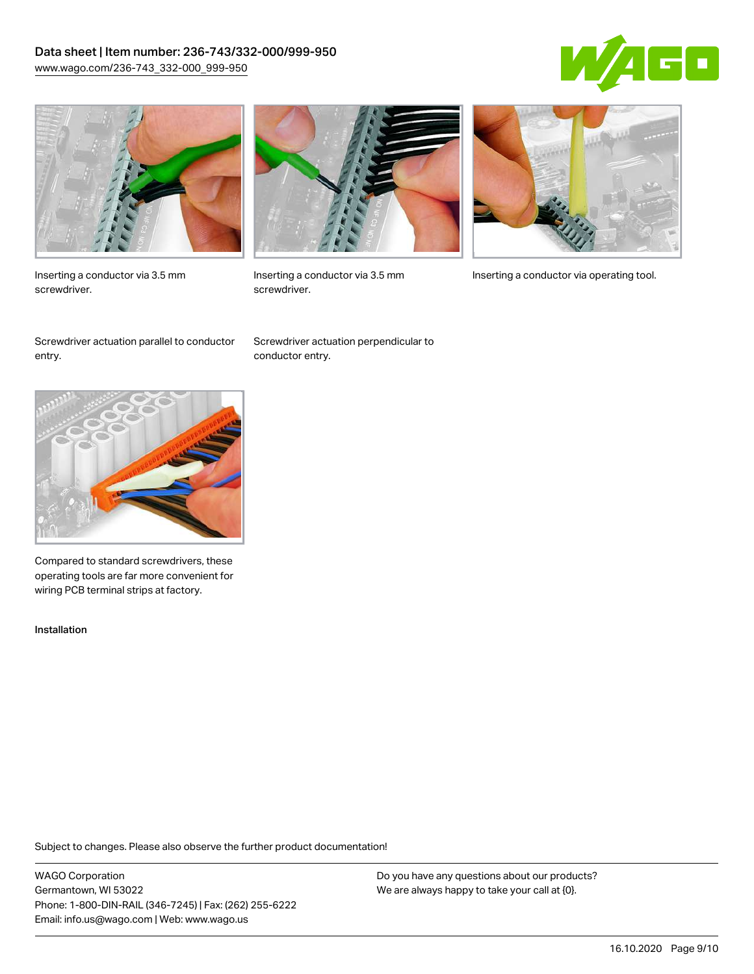### Data sheet | Item number: 236-743/332-000/999-950 [www.wago.com/236-743\\_332-000\\_999-950](http://www.wago.com/236-743_332-000_999-950)





Inserting a conductor via 3.5 mm screwdriver.



screwdriver.

Inserting a conductor via 3.5 mm Inserting a conductor via operating tool.

Screwdriver actuation parallel to conductor entry.

Screwdriver actuation perpendicular to conductor entry.



Compared to standard screwdrivers, these operating tools are far more convenient for wiring PCB terminal strips at factory.

Installation

Subject to changes. Please also observe the further product documentation!

WAGO Corporation Germantown, WI 53022 Phone: 1-800-DIN-RAIL (346-7245) | Fax: (262) 255-6222 Email: info.us@wago.com | Web: www.wago.us